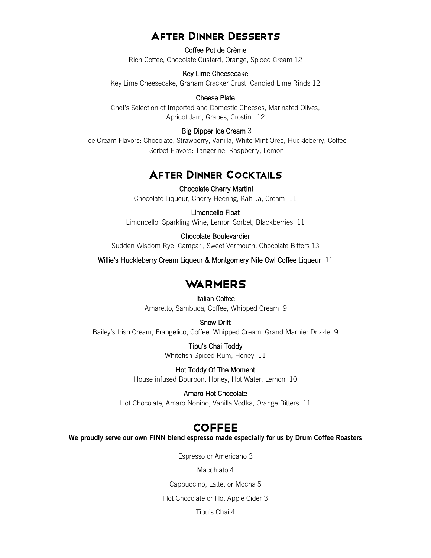### AFTER DINNER DESSERTS

Coffee Pot de Crème Rich Coffee, Chocolate Custard, Orange, Spiced Cream 12

#### Key Lime Cheesecake

Key Lime Cheesecake, Graham Cracker Crust, Candied Lime Rinds 12

#### Cheese Plate

Chef's Selection of Imported and Domestic Cheeses, Marinated Olives, Apricot Jam, Grapes, Crostini 12

### Big Dipper Ice Cream 3

Ice Cream Flavors: Chocolate, Strawberry, Vanilla, White Mint Oreo, Huckleberry, Coffee Sorbet Flavors: Tangerine, Raspberry, Lemon

## AFTER DINNER COCKTAILS

Chocolate Cherry Martini Chocolate Liqueur, Cherry Heering, Kahlua, Cream 11

#### Limoncello Float

Limoncello, Sparkling Wine, Lemon Sorbet, Blackberries 11

#### Chocolate Boulevardier

Sudden Wisdom Rye, Campari, Sweet Vermouth, Chocolate Bitters 13

Willie's Huckleberry Cream Liqueur & Montgomery Nite Owl Coffee Liqueur 11

### **WARMERS**

Italian Coffee Amaretto, Sambuca, Coffee, Whipped Cream 9

Snow Drift Bailey's Irish Cream, Frangelico, Coffee, Whipped Cream, Grand Marnier Drizzle 9

> Tipu's Chai Toddy Whitefish Spiced Rum, Honey 11

Hot Toddy Of The Moment House infused Bourbon, Honey, Hot Water, Lemon 10

Amaro Hot Chocolate Hot Chocolate, Amaro Nonino, Vanilla Vodka, Orange Bitters 11

### **COFFEE**

**We proudly serve our own FINN blend espresso made especially for us by Drum Coffee Roasters**

Espresso or Americano 3

Macchiato 4

Cappuccino, Latte, or Mocha 5

Hot Chocolate or Hot Apple Cider 3

Tipu's Chai 4